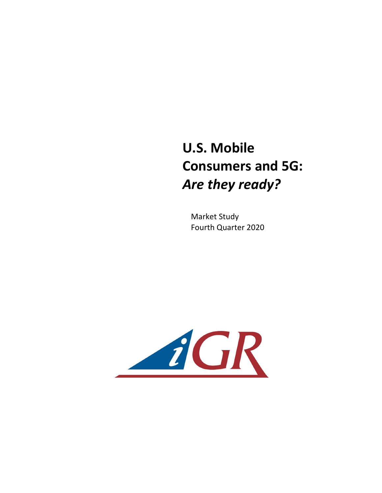## **U.S. Mobile Consumers and 5G:** Are they ready?

**Market Study** Fourth Quarter 2020

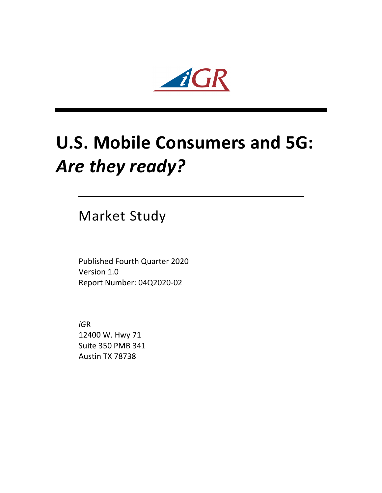

## **U.S. Mobile Consumers and 5G:** Are they ready?

Market Study

Published Fourth Quarter 2020 Version 1.0 Report Number: 04Q2020-02

*iG*R 12400 W. Hwy 71 Suite 350 PMB 341 Austin TX 78738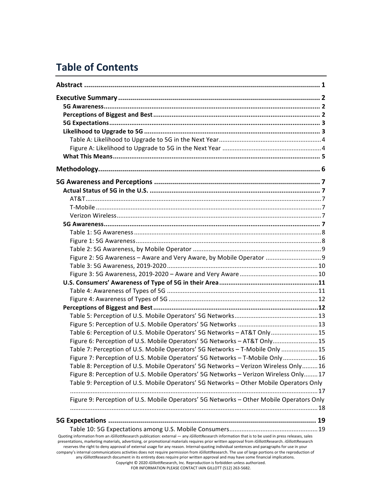## **Table of Contents**

| Figure 2: 5G Awareness - Aware and Very Aware, by Mobile Operator  9                                                                                                                                                                                                                                                                                                                                                                                                                                                                                                                                                                                                                                                                                                                                                                                                                           |
|------------------------------------------------------------------------------------------------------------------------------------------------------------------------------------------------------------------------------------------------------------------------------------------------------------------------------------------------------------------------------------------------------------------------------------------------------------------------------------------------------------------------------------------------------------------------------------------------------------------------------------------------------------------------------------------------------------------------------------------------------------------------------------------------------------------------------------------------------------------------------------------------|
|                                                                                                                                                                                                                                                                                                                                                                                                                                                                                                                                                                                                                                                                                                                                                                                                                                                                                                |
|                                                                                                                                                                                                                                                                                                                                                                                                                                                                                                                                                                                                                                                                                                                                                                                                                                                                                                |
|                                                                                                                                                                                                                                                                                                                                                                                                                                                                                                                                                                                                                                                                                                                                                                                                                                                                                                |
|                                                                                                                                                                                                                                                                                                                                                                                                                                                                                                                                                                                                                                                                                                                                                                                                                                                                                                |
|                                                                                                                                                                                                                                                                                                                                                                                                                                                                                                                                                                                                                                                                                                                                                                                                                                                                                                |
|                                                                                                                                                                                                                                                                                                                                                                                                                                                                                                                                                                                                                                                                                                                                                                                                                                                                                                |
|                                                                                                                                                                                                                                                                                                                                                                                                                                                                                                                                                                                                                                                                                                                                                                                                                                                                                                |
|                                                                                                                                                                                                                                                                                                                                                                                                                                                                                                                                                                                                                                                                                                                                                                                                                                                                                                |
| Table 6: Perception of U.S. Mobile Operators' 5G Networks - AT&T Only 15                                                                                                                                                                                                                                                                                                                                                                                                                                                                                                                                                                                                                                                                                                                                                                                                                       |
| Figure 6: Perception of U.S. Mobile Operators' 5G Networks - AT&T Only15                                                                                                                                                                                                                                                                                                                                                                                                                                                                                                                                                                                                                                                                                                                                                                                                                       |
| Table 7: Perception of U.S. Mobile Operators' 5G Networks - T-Mobile Only 15                                                                                                                                                                                                                                                                                                                                                                                                                                                                                                                                                                                                                                                                                                                                                                                                                   |
| Figure 7: Perception of U.S. Mobile Operators' 5G Networks - T-Mobile Only  16                                                                                                                                                                                                                                                                                                                                                                                                                                                                                                                                                                                                                                                                                                                                                                                                                 |
| Table 8: Perception of U.S. Mobile Operators' 5G Networks - Verizon Wireless Only16                                                                                                                                                                                                                                                                                                                                                                                                                                                                                                                                                                                                                                                                                                                                                                                                            |
| Figure 8: Perception of U.S. Mobile Operators' 5G Networks - Verizon Wireless Only 17                                                                                                                                                                                                                                                                                                                                                                                                                                                                                                                                                                                                                                                                                                                                                                                                          |
| Table 9: Perception of U.S. Mobile Operators' 5G Networks - Other Mobile Operators Only                                                                                                                                                                                                                                                                                                                                                                                                                                                                                                                                                                                                                                                                                                                                                                                                        |
| Figure 9: Perception of U.S. Mobile Operators' 5G Networks - Other Mobile Operators Only                                                                                                                                                                                                                                                                                                                                                                                                                                                                                                                                                                                                                                                                                                                                                                                                       |
|                                                                                                                                                                                                                                                                                                                                                                                                                                                                                                                                                                                                                                                                                                                                                                                                                                                                                                |
|                                                                                                                                                                                                                                                                                                                                                                                                                                                                                                                                                                                                                                                                                                                                                                                                                                                                                                |
|                                                                                                                                                                                                                                                                                                                                                                                                                                                                                                                                                                                                                                                                                                                                                                                                                                                                                                |
| Quoting information from an iGillottResearch publication: external - any iGillottResearch information that is to be used in press releases, sales<br>presentations, marketing materials, advertising, or promotional materials requires prior written approval from iGillottResearch. iGillottResearch<br>reserves the right to deny approval of external usage for any reason. Internal-quoting individual sentences and paragraphs for use in your<br>company's internal communications activities does not require permission from iGillottResearch. The use of large portions or the reproduction of<br>any iGillottResearch document in its entirety does require prior written approval and may have some financial implications.<br>Copyright © 2020 iGillottResearch, Inc. Reproduction is forbidden unless authorized.<br>FOR INFORMATION PLEASE CONTACT IAIN GILLOTT (512) 263-5682. |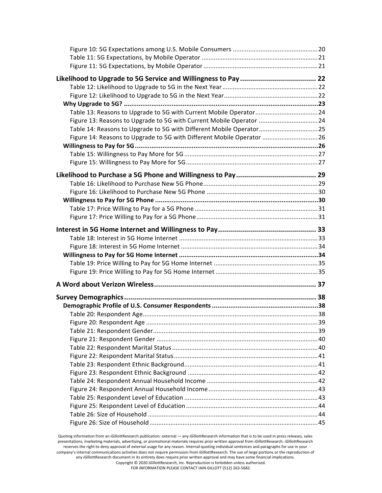| Figure 13: Reasons to Upgrade to 5G with Current Mobile Operator 24   |  |
|-----------------------------------------------------------------------|--|
| Table 14: Reasons to Upgrade to 5G with Different Mobile Operator 25  |  |
| Figure 14: Reasons to Upgrade to 5G with Different Mobile Operator 26 |  |
|                                                                       |  |
|                                                                       |  |
|                                                                       |  |
|                                                                       |  |
|                                                                       |  |
|                                                                       |  |
|                                                                       |  |
|                                                                       |  |
|                                                                       |  |
|                                                                       |  |
|                                                                       |  |
|                                                                       |  |
|                                                                       |  |
|                                                                       |  |
|                                                                       |  |
|                                                                       |  |
|                                                                       |  |
|                                                                       |  |
|                                                                       |  |
|                                                                       |  |
|                                                                       |  |
|                                                                       |  |
|                                                                       |  |
|                                                                       |  |
|                                                                       |  |
|                                                                       |  |
|                                                                       |  |
|                                                                       |  |
|                                                                       |  |
|                                                                       |  |
|                                                                       |  |
|                                                                       |  |
|                                                                       |  |
|                                                                       |  |

Quoting information from an *iGillottResearch publication: external — any <i>iGillottResearch* information that is to be used in press releases, sales presentations, marketing materials, advertising, or promotional materials requires prior written approval from *iG*illottResearch. *iGillottResearch* reserves the right to deny approval of external usage for any reason. Internal-quoting individual sentences and paragraphs for use in your company's internal communications activities does not require permission from *iG*illottResearch. The use of large portions or the reproduction of any iGillottResearch document in its entirety does require prior written approval and may have some financial implications. Copyright © 2020 *iGillottResearch, Inc. Reproduction* is forbidden unless authorized.

FOR INFORMATION PLEASE CONTACT IAIN GILLOTT (512) 263-5682.